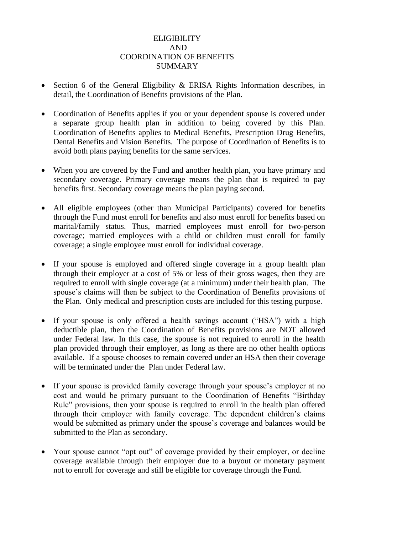## **ELIGIBILITY** AND COORDINATION OF BENEFITS SUMMARY

- Section 6 of the General Eligibility & ERISA Rights Information describes, in detail, the Coordination of Benefits provisions of the Plan.
- Coordination of Benefits applies if you or your dependent spouse is covered under a separate group health plan in addition to being covered by this Plan. Coordination of Benefits applies to Medical Benefits, Prescription Drug Benefits, Dental Benefits and Vision Benefits. The purpose of Coordination of Benefits is to avoid both plans paying benefits for the same services.
- When you are covered by the Fund and another health plan, you have primary and secondary coverage. Primary coverage means the plan that is required to pay benefits first. Secondary coverage means the plan paying second.
- All eligible employees (other than Municipal Participants) covered for benefits through the Fund must enroll for benefits and also must enroll for benefits based on marital/family status. Thus, married employees must enroll for two-person coverage; married employees with a child or children must enroll for family coverage; a single employee must enroll for individual coverage.
- If your spouse is employed and offered single coverage in a group health plan through their employer at a cost of 5% or less of their gross wages, then they are required to enroll with single coverage (at a minimum) under their health plan. The spouse's claims will then be subject to the Coordination of Benefits provisions of the Plan. Only medical and prescription costs are included for this testing purpose.
- If your spouse is only offered a health savings account ("HSA") with a high deductible plan, then the Coordination of Benefits provisions are NOT allowed under Federal law. In this case, the spouse is not required to enroll in the health plan provided through their employer, as long as there are no other health options available. If a spouse chooses to remain covered under an HSA then their coverage will be terminated under the Plan under Federal law.
- If your spouse is provided family coverage through your spouse's employer at no cost and would be primary pursuant to the Coordination of Benefits "Birthday Rule" provisions, then your spouse is required to enroll in the health plan offered through their employer with family coverage. The dependent children's claims would be submitted as primary under the spouse's coverage and balances would be submitted to the Plan as secondary.
- Your spouse cannot "opt out" of coverage provided by their employer, or decline coverage available through their employer due to a buyout or monetary payment not to enroll for coverage and still be eligible for coverage through the Fund.